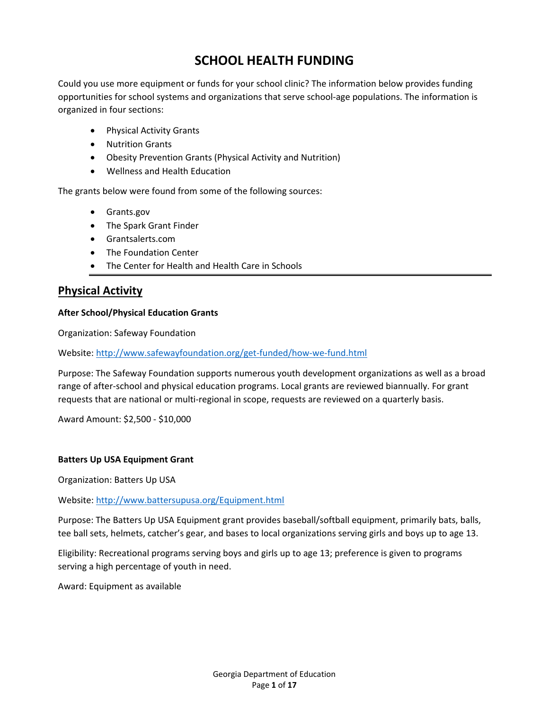# **SCHOOL HEALTH FUNDING**

Could you use more equipment or funds for your school clinic? The information below provides funding opportunities for school systems and organizations that serve school‐age populations. The information is organized in four sections:

- Physical Activity Grants
- Nutrition Grants
- Obesity Prevention Grants (Physical Activity and Nutrition)
- Wellness and Health Education

The grants below were found from some of the following sources:

- Grants.gov
- The Spark Grant Finder
- Grantsalerts.com
- The Foundation Center
- The Center for Health and Health Care in Schools

## **Physical Activity**

## **After School/Physical Education Grants**

Organization: Safeway Foundation

Website: http://www.safewayfoundation.org/get-funded/how-we-fund.html

Purpose: The Safeway Foundation supports numerous youth development organizations as well as a broad range of after-school and physical education programs. Local grants are reviewed biannually. For grant requests that are national or multi-regional in scope, requests are reviewed on a quarterly basis.

Award Amount: \$2,500 ‐ \$10,000

#### **Batters Up USA Equipment Grant**

Organization: Batters Up USA

Website: http://www.battersupusa.org/Equipment.html

Purpose: The Batters Up USA Equipment grant provides baseball/softball equipment, primarily bats, balls, tee ball sets, helmets, catcher's gear, and bases to local organizations serving girls and boys up to age 13.

Eligibility: Recreational programs serving boys and girls up to age 13; preference is given to programs serving a high percentage of youth in need.

Award: Equipment as available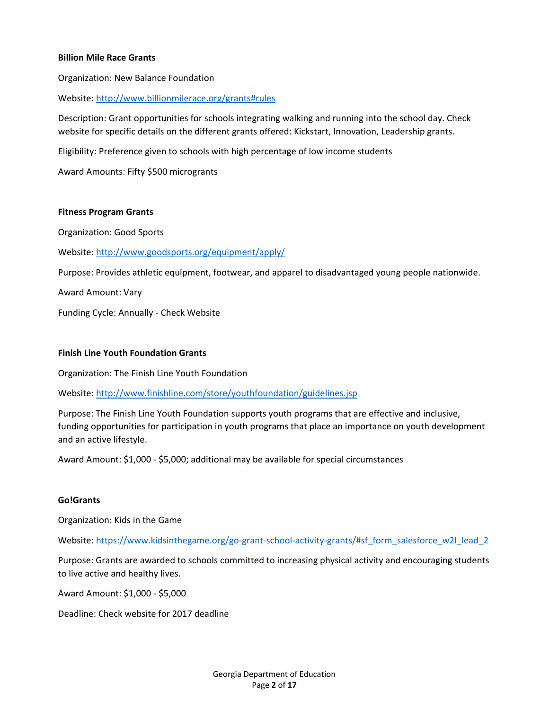## **Billion Mile Race Grants**

Organization: New Balance Foundation

Website: http://www.billionmilerace.org/grants#rules

Description: Grant opportunities for schools integrating walking and running into the school day. Check website for specific details on the different grants offered: Kickstart, Innovation, Leadership grants.

Eligibility: Preference given to schools with high percentage of low income students

Award Amounts: Fifty \$500 microgrants

#### **Fitness Program Grants**

Organization: Good Sports

Website: http://www.goodsports.org/equipment/apply/

Purpose: Provides athletic equipment, footwear, and apparel to disadvantaged young people nationwide.

Award Amount: Vary

Funding Cycle: Annually ‐ Check Website

#### **Finish Line Youth Foundation Grants**

Organization: The Finish Line Youth Foundation

Website: http://www.finishline.com/store/youthfoundation/guidelines.jsp

Purpose: The Finish Line Youth Foundation supports youth programs that are effective and inclusive, funding opportunities for participation in youth programs that place an importance on youth development and an active lifestyle.

Award Amount: \$1,000 ‐ \$5,000; additional may be available for special circumstances

#### **Go!Grants**

Organization: Kids in the Game

Website: https://www.kidsinthegame.org/go-grant-school-activity-grants/#sf\_form\_salesforce\_w2l\_lead\_2

Purpose: Grants are awarded to schools committed to increasing physical activity and encouraging students to live active and healthy lives.

Award Amount: \$1,000 ‐ \$5,000

Deadline: Check website for 2017 deadline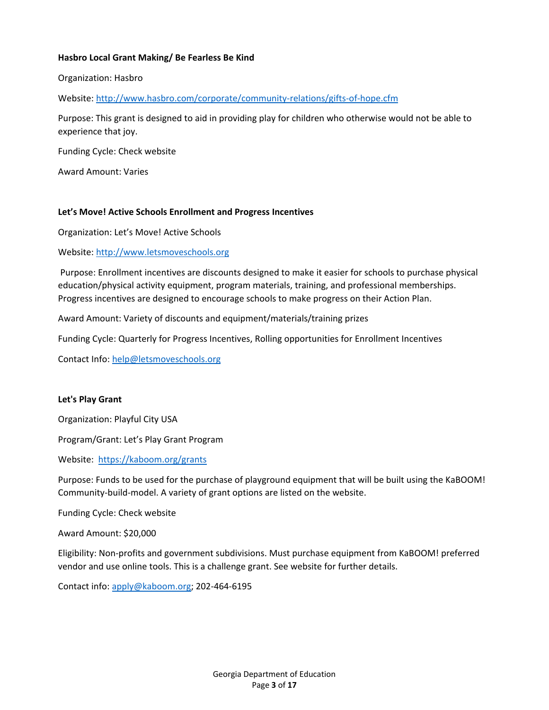## **Hasbro Local Grant Making/ Be Fearless Be Kind**

Organization: Hasbro

Website: http://www.hasbro.com/corporate/community-relations/gifts-of-hope.cfm

Purpose: This grant is designed to aid in providing play for children who otherwise would not be able to experience that joy.

Funding Cycle: Check website

Award Amount: Varies

## **Let's Move! Active Schools Enrollment and Progress Incentives**

Organization: Let's Move! Active Schools

Website: http://www.letsmoveschools.org

Purpose: Enrollment incentives are discounts designed to make it easier for schools to purchase physical education/physical activity equipment, program materials, training, and professional memberships. Progress incentives are designed to encourage schools to make progress on their Action Plan.

Award Amount: Variety of discounts and equipment/materials/training prizes

Funding Cycle: Quarterly for Progress Incentives, Rolling opportunities for Enrollment Incentives

Contact Info: help@letsmoveschools.org

## **Let's Play Grant**

Organization: Playful City USA

Program/Grant: Let's Play Grant Program

Website: https://kaboom.org/grants

Purpose: Funds to be used for the purchase of playground equipment that will be built using the KaBOOM! Community‐build‐model. A variety of grant options are listed on the website.

Funding Cycle: Check website

Award Amount: \$20,000

Eligibility: Non‐profits and government subdivisions. Must purchase equipment from KaBOOM! preferred vendor and use online tools. This is a challenge grant. See website for further details.

Contact info: apply@kaboom.org; 202‐464‐6195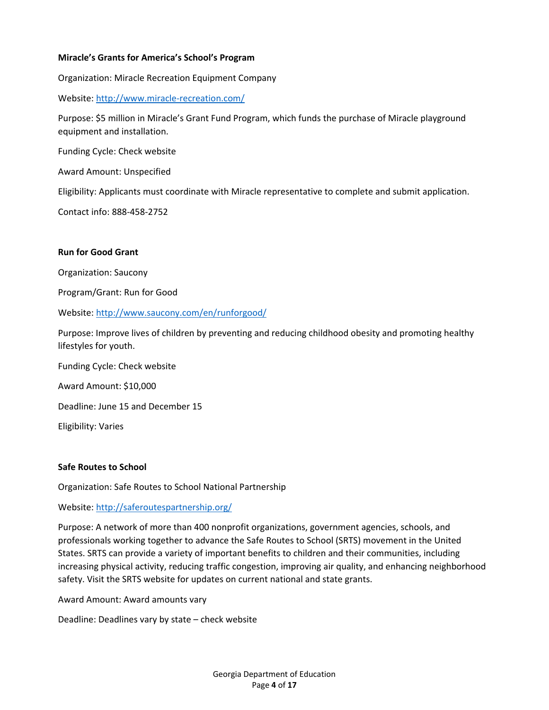## **Miracle's Grants for America's School's Program**

Organization: Miracle Recreation Equipment Company

Website: http://www.miracle-recreation.com/

Purpose: \$5 million in Miracle's Grant Fund Program, which funds the purchase of Miracle playground equipment and installation.

Funding Cycle: Check website

Award Amount: Unspecified

Eligibility: Applicants must coordinate with Miracle representative to complete and submit application.

Contact info: 888‐458‐2752

## **Run for Good Grant**

Organization: Saucony

Program/Grant: Run for Good

Website: http://www.saucony.com/en/runforgood/

Purpose: Improve lives of children by preventing and reducing childhood obesity and promoting healthy lifestyles for youth.

Funding Cycle: Check website

Award Amount: \$10,000

Deadline: June 15 and December 15

Eligibility: Varies

## **Safe Routes to School**

Organization: Safe Routes to School National Partnership

Website: http://saferoutespartnership.org/

Purpose: A network of more than 400 nonprofit organizations, government agencies, schools, and professionals working together to advance the Safe Routes to School (SRTS) movement in the United States. SRTS can provide a variety of important benefits to children and their communities, including increasing physical activity, reducing traffic congestion, improving air quality, and enhancing neighborhood safety. Visit the SRTS website for updates on current national and state grants.

Award Amount: Award amounts vary

Deadline: Deadlines vary by state – check website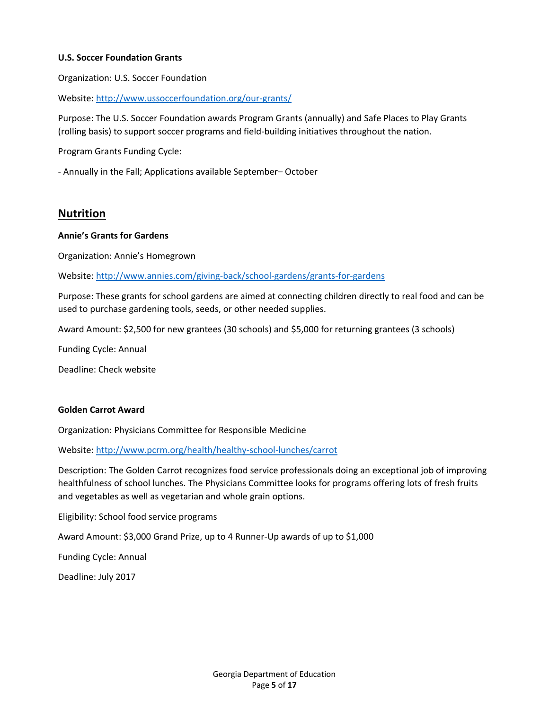## **U.S. Soccer Foundation Grants**

Organization: U.S. Soccer Foundation

Website: http://www.ussoccerfoundation.org/our-grants/

Purpose: The U.S. Soccer Foundation awards Program Grants (annually) and Safe Places to Play Grants (rolling basis) to support soccer programs and field‐building initiatives throughout the nation.

Program Grants Funding Cycle:

‐ Annually in the Fall; Applications available September– October

## **Nutrition**

#### **Annie's Grants for Gardens**

Organization: Annie's Homegrown

Website: http://www.annies.com/giving‐back/school‐gardens/grants‐for‐gardens

Purpose: These grants for school gardens are aimed at connecting children directly to real food and can be used to purchase gardening tools, seeds, or other needed supplies.

Award Amount: \$2,500 for new grantees (30 schools) and \$5,000 for returning grantees (3 schools)

Funding Cycle: Annual

Deadline: Check website

#### **Golden Carrot Award**

Organization: Physicians Committee for Responsible Medicine

Website: http://www.pcrm.org/health/healthy‐school‐lunches/carrot

Description: The Golden Carrot recognizes food service professionals doing an exceptional job of improving healthfulness of school lunches. The Physicians Committee looks for programs offering lots of fresh fruits and vegetables as well as vegetarian and whole grain options.

Eligibility: School food service programs

Award Amount: \$3,000 Grand Prize, up to 4 Runner‐Up awards of up to \$1,000

Funding Cycle: Annual

Deadline: July 2017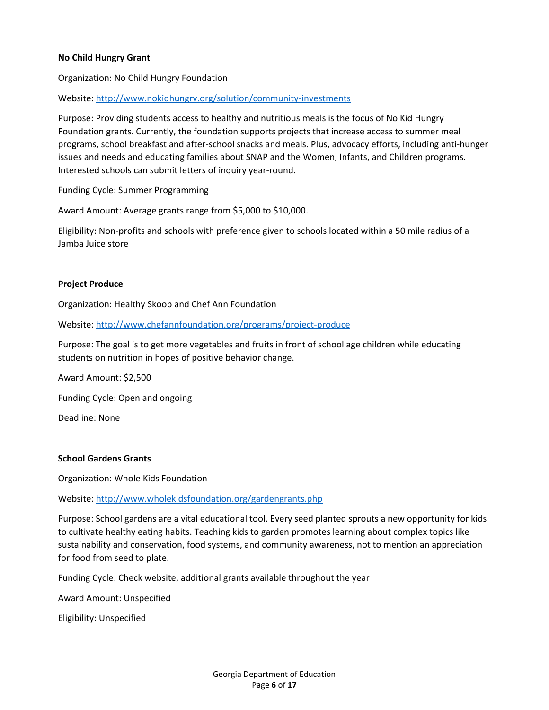## **No Child Hungry Grant**

Organization: No Child Hungry Foundation

Website: http://www.nokidhungry.org/solution/community-investments

Purpose: Providing students access to healthy and nutritious meals is the focus of No Kid Hungry Foundation grants. Currently, the foundation supports projects that increase access to summer meal programs, school breakfast and after‐school snacks and meals. Plus, advocacy efforts, including anti‐hunger issues and needs and educating families about SNAP and the Women, Infants, and Children programs. Interested schools can submit letters of inquiry year‐round.

Funding Cycle: Summer Programming

Award Amount: Average grants range from \$5,000 to \$10,000.

Eligibility: Non‐profits and schools with preference given to schools located within a 50 mile radius of a Jamba Juice store

#### **Project Produce**

Organization: Healthy Skoop and Chef Ann Foundation

Website: http://www.chefannfoundation.org/programs/project‐produce

Purpose: The goal is to get more vegetables and fruits in front of school age children while educating students on nutrition in hopes of positive behavior change.

Award Amount: \$2,500

Funding Cycle: Open and ongoing

Deadline: None

## **School Gardens Grants**

Organization: Whole Kids Foundation

Website: http://www.wholekidsfoundation.org/gardengrants.php

Purpose: School gardens are a vital educational tool. Every seed planted sprouts a new opportunity for kids to cultivate healthy eating habits. Teaching kids to garden promotes learning about complex topics like sustainability and conservation, food systems, and community awareness, not to mention an appreciation for food from seed to plate.

Funding Cycle: Check website, additional grants available throughout the year

Award Amount: Unspecified

Eligibility: Unspecified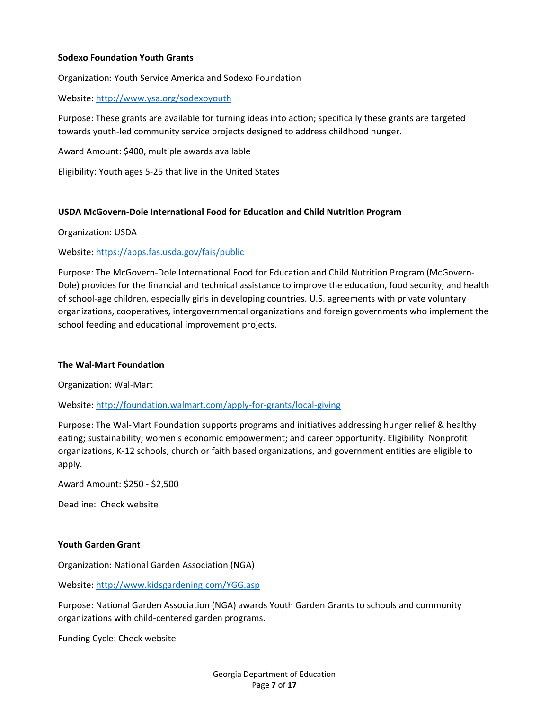## **Sodexo Foundation Youth Grants**

Organization: Youth Service America and Sodexo Foundation

## Website: http://www.ysa.org/sodexoyouth

Purpose: These grants are available for turning ideas into action; specifically these grants are targeted towards youth‐led community service projects designed to address childhood hunger.

Award Amount: \$400, multiple awards available

Eligibility: Youth ages 5‐25 that live in the United States

## **USDA McGovern‐Dole International Food for Education and Child Nutrition Program**

Organization: USDA

## Website: https://apps.fas.usda.gov/fais/public

Purpose: The McGovern‐Dole International Food for Education and Child Nutrition Program (McGovern‐ Dole) provides for the financial and technical assistance to improve the education, food security, and health of school-age children, especially girls in developing countries. U.S. agreements with private voluntary organizations, cooperatives, intergovernmental organizations and foreign governments who implement the school feeding and educational improvement projects.

#### **The Wal‐Mart Foundation**

Organization: Wal‐Mart

Website: http://foundation.walmart.com/apply‐for‐grants/local‐giving

Purpose: The Wal‐Mart Foundation supports programs and initiatives addressing hunger relief & healthy eating; sustainability; women's economic empowerment; and career opportunity. Eligibility: Nonprofit organizations, K‐12 schools, church or faith based organizations, and government entities are eligible to apply.

Award Amount: \$250 ‐ \$2,500

Deadline: Check website

## **Youth Garden Grant**

Organization: National Garden Association (NGA)

Website: http://www.kidsgardening.com/YGG.asp

Purpose: National Garden Association (NGA) awards Youth Garden Grants to schools and community organizations with child‐centered garden programs.

Funding Cycle: Check website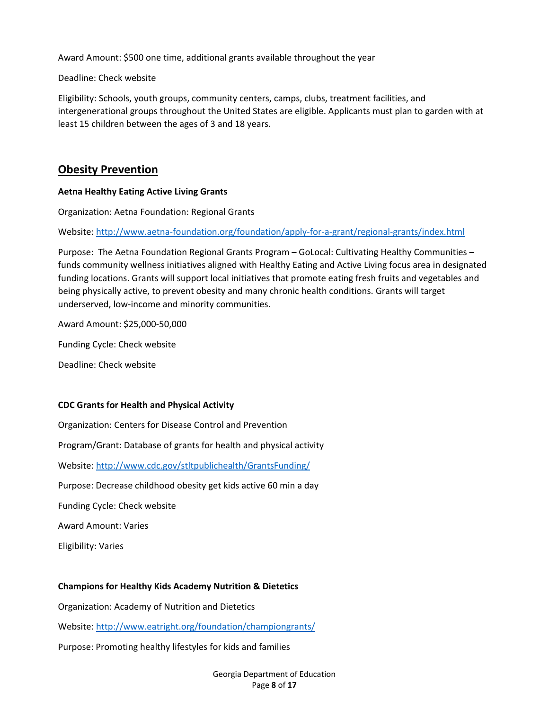Award Amount: \$500 one time, additional grants available throughout the year

Deadline: Check website

Eligibility: Schools, youth groups, community centers, camps, clubs, treatment facilities, and intergenerational groups throughout the United States are eligible. Applicants must plan to garden with at least 15 children between the ages of 3 and 18 years.

## **Obesity Prevention**

## **Aetna Healthy Eating Active Living Grants**

Organization: Aetna Foundation: Regional Grants

Website: http://www.aetna-foundation.org/foundation/apply-for-a-grant/regional-grants/index.html

Purpose: The Aetna Foundation Regional Grants Program – GoLocal: Cultivating Healthy Communities – funds community wellness initiatives aligned with Healthy Eating and Active Living focus area in designated funding locations. Grants will support local initiatives that promote eating fresh fruits and vegetables and being physically active, to prevent obesity and many chronic health conditions. Grants will target underserved, low‐income and minority communities.

Award Amount: \$25,000‐50,000

Funding Cycle: Check website

Deadline: Check website

## **CDC Grants for Health and Physical Activity**

Organization: Centers for Disease Control and Prevention

Program/Grant: Database of grants for health and physical activity

Website: http://www.cdc.gov/stltpublichealth/GrantsFunding/

Purpose: Decrease childhood obesity get kids active 60 min a day

Funding Cycle: Check website

Award Amount: Varies

Eligibility: Varies

## **Champions for Healthy Kids Academy Nutrition & Dietetics**

Organization: Academy of Nutrition and Dietetics

Website: http://www.eatright.org/foundation/championgrants/

Purpose: Promoting healthy lifestyles for kids and families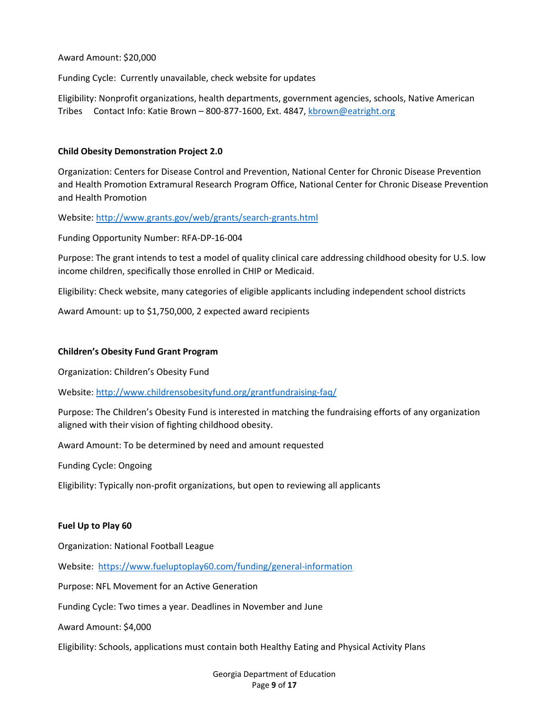Award Amount: \$20,000

Funding Cycle: Currently unavailable, check website for updates

Eligibility: Nonprofit organizations, health departments, government agencies, schools, Native American Tribes Contact Info: Katie Brown – 800-877-1600, Ext. 4847, kbrown@eatright.org

## **Child Obesity Demonstration Project 2.0**

Organization: Centers for Disease Control and Prevention, National Center for Chronic Disease Prevention and Health Promotion Extramural Research Program Office, National Center for Chronic Disease Prevention and Health Promotion

Website: http://www.grants.gov/web/grants/search‐grants.html

Funding Opportunity Number: RFA‐DP‐16‐004

Purpose: The grant intends to test a model of quality clinical care addressing childhood obesity for U.S. low income children, specifically those enrolled in CHIP or Medicaid.

Eligibility: Check website, many categories of eligible applicants including independent school districts

Award Amount: up to \$1,750,000, 2 expected award recipients

## **Children's Obesity Fund Grant Program**

Organization: Children's Obesity Fund

Website: http://www.childrensobesityfund.org/grantfundraising‐faq/

Purpose: The Children's Obesity Fund is interested in matching the fundraising efforts of any organization aligned with their vision of fighting childhood obesity.

Award Amount: To be determined by need and amount requested

Funding Cycle: Ongoing

Eligibility: Typically non‐profit organizations, but open to reviewing all applicants

#### **Fuel Up to Play 60**

Organization: National Football League

Website: https://www.fueluptoplay60.com/funding/general-information

Purpose: NFL Movement for an Active Generation

Funding Cycle: Two times a year. Deadlines in November and June

Award Amount: \$4,000

Eligibility: Schools, applications must contain both Healthy Eating and Physical Activity Plans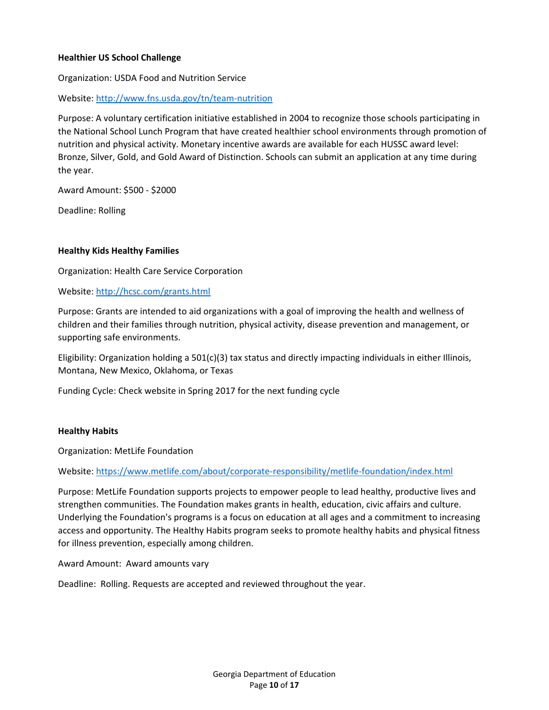## **Healthier US School Challenge**

Organization: USDA Food and Nutrition Service

Website: http://www.fns.usda.gov/tn/team-nutrition

Purpose: A voluntary certification initiative established in 2004 to recognize those schools participating in the National School Lunch Program that have created healthier school environments through promotion of nutrition and physical activity. Monetary incentive awards are available for each HUSSC award level: Bronze, Silver, Gold, and Gold Award of Distinction. Schools can submit an application at any time during the year.

Award Amount: \$500 ‐ \$2000

Deadline: Rolling

#### **Healthy Kids Healthy Families**

Organization: Health Care Service Corporation

Website: http://hcsc.com/grants.html

Purpose: Grants are intended to aid organizations with a goal of improving the health and wellness of children and their families through nutrition, physical activity, disease prevention and management, or supporting safe environments.

Eligibility: Organization holding a 501(c)(3) tax status and directly impacting individuals in either Illinois, Montana, New Mexico, Oklahoma, or Texas

Funding Cycle: Check website in Spring 2017 for the next funding cycle

#### **Healthy Habits**

Organization: MetLife Foundation

Website: https://www.metlife.com/about/corporate‐responsibility/metlife‐foundation/index.html

Purpose: MetLife Foundation supports projects to empower people to lead healthy, productive lives and strengthen communities. The Foundation makes grants in health, education, civic affairs and culture. Underlying the Foundation's programs is a focus on education at all ages and a commitment to increasing access and opportunity. The Healthy Habits program seeks to promote healthy habits and physical fitness for illness prevention, especially among children.

Award Amount: Award amounts vary

Deadline: Rolling. Requests are accepted and reviewed throughout the year.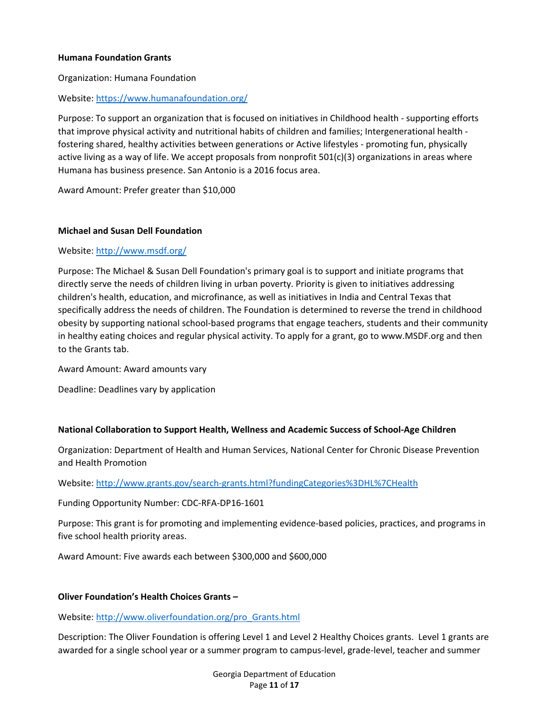## **Humana Foundation Grants**

Organization: Humana Foundation

## Website: https://www.humanafoundation.org/

Purpose: To support an organization that is focused on initiatives in Childhood health ‐ supporting efforts that improve physical activity and nutritional habits of children and families; Intergenerational health ‐ fostering shared, healthy activities between generations or Active lifestyles ‐ promoting fun, physically active living as a way of life. We accept proposals from nonprofit 501(c)(3) organizations in areas where Humana has business presence. San Antonio is a 2016 focus area.

Award Amount: Prefer greater than \$10,000

## **Michael and Susan Dell Foundation**

## Website: http://www.msdf.org/

Purpose: The Michael & Susan Dell Foundation's primary goal is to support and initiate programs that directly serve the needs of children living in urban poverty. Priority is given to initiatives addressing children's health, education, and microfinance, as well as initiatives in India and Central Texas that specifically address the needs of children. The Foundation is determined to reverse the trend in childhood obesity by supporting national school‐based programs that engage teachers, students and their community in healthy eating choices and regular physical activity. To apply for a grant, go to www.MSDF.org and then to the Grants tab.

Award Amount: Award amounts vary

Deadline: Deadlines vary by application

## **National Collaboration to Support Health, Wellness and Academic Success of School‐Age Children**

Organization: Department of Health and Human Services, National Center for Chronic Disease Prevention and Health Promotion

Website: http://www.grants.gov/search‐grants.html?fundingCategories%3DHL%7CHealth

Funding Opportunity Number: CDC‐RFA‐DP16‐1601

Purpose: This grant is for promoting and implementing evidence‐based policies, practices, and programs in five school health priority areas.

Award Amount: Five awards each between \$300,000 and \$600,000

## **Oliver Foundation's Health Choices Grants –**

Website: http://www.oliverfoundation.org/pro\_Grants.html

Description: The Oliver Foundation is offering Level 1 and Level 2 Healthy Choices grants. Level 1 grants are awarded for a single school year or a summer program to campus‐level, grade‐level, teacher and summer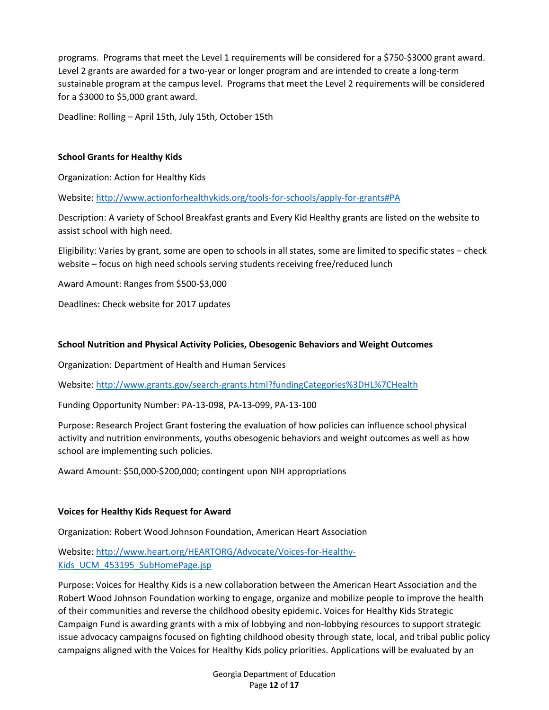programs. Programs that meet the Level 1 requirements will be considered for a \$750‐\$3000 grant award. Level 2 grants are awarded for a two‐year or longer program and are intended to create a long‐term sustainable program at the campus level. Programs that meet the Level 2 requirements will be considered for a \$3000 to \$5,000 grant award.

Deadline: Rolling – April 15th, July 15th, October 15th

## **School Grants for Healthy Kids**

Organization: Action for Healthy Kids

Website: http://www.actionforhealthykids.org/tools‐for‐schools/apply‐for‐grants#PA

Description: A variety of School Breakfast grants and Every Kid Healthy grants are listed on the website to assist school with high need.

Eligibility: Varies by grant, some are open to schools in all states, some are limited to specific states – check website – focus on high need schools serving students receiving free/reduced lunch

Award Amount: Ranges from \$500‐\$3,000

Deadlines: Check website for 2017 updates

## **School Nutrition and Physical Activity Policies, Obesogenic Behaviors and Weight Outcomes**

Organization: Department of Health and Human Services

Website: http://www.grants.gov/search‐grants.html?fundingCategories%3DHL%7CHealth

Funding Opportunity Number: PA‐13‐098, PA‐13‐099, PA‐13‐100

Purpose: Research Project Grant fostering the evaluation of how policies can influence school physical activity and nutrition environments, youths obesogenic behaviors and weight outcomes as well as how school are implementing such policies.

Award Amount: \$50,000‐\$200,000; contingent upon NIH appropriations

## **Voices for Healthy Kids Request for Award**

Organization: Robert Wood Johnson Foundation, American Heart Association

Website: http://www.heart.org/HEARTORG/Advocate/Voices-for-Healthy-Kids\_UCM\_453195\_SubHomePage.jsp

Purpose: Voices for Healthy Kids is a new collaboration between the American Heart Association and the Robert Wood Johnson Foundation working to engage, organize and mobilize people to improve the health of their communities and reverse the childhood obesity epidemic. Voices for Healthy Kids Strategic Campaign Fund is awarding grants with a mix of lobbying and non‐lobbying resources to support strategic issue advocacy campaigns focused on fighting childhood obesity through state, local, and tribal public policy campaigns aligned with the Voices for Healthy Kids policy priorities. Applications will be evaluated by an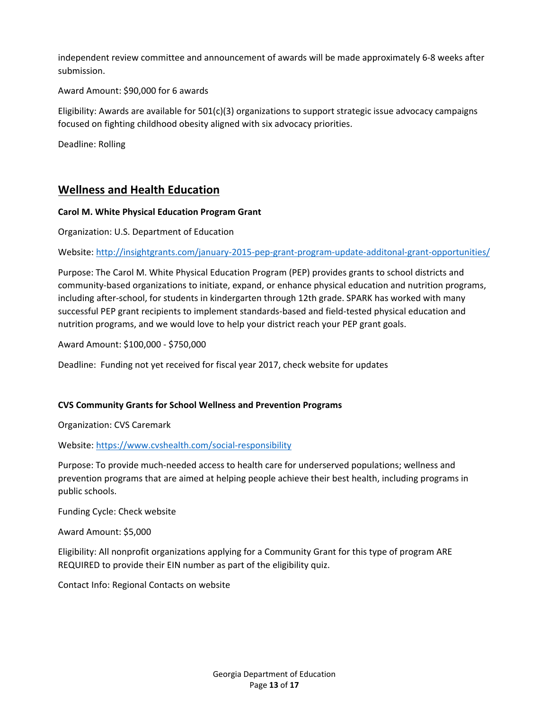independent review committee and announcement of awards will be made approximately 6‐8 weeks after submission.

Award Amount: \$90,000 for 6 awards

Eligibility: Awards are available for 501(c)(3) organizations to support strategic issue advocacy campaigns focused on fighting childhood obesity aligned with six advocacy priorities.

Deadline: Rolling

## **Wellness and Health Education**

## **Carol M. White Physical Education Program Grant**

Organization: U.S. Department of Education

Website: http://insightgrants.com/january‐2015‐pep‐grant‐program‐update‐additonal‐grant‐opportunities/

Purpose: The Carol M. White Physical Education Program (PEP) provides grants to school districts and community-based organizations to initiate, expand, or enhance physical education and nutrition programs, including after‐school, for students in kindergarten through 12th grade. SPARK has worked with many successful PEP grant recipients to implement standards‐based and field‐tested physical education and nutrition programs, and we would love to help your district reach your PEP grant goals.

Award Amount: \$100,000 ‐ \$750,000

Deadline: Funding not yet received for fiscal year 2017, check website for updates

## **CVS Community Grants for School Wellness and Prevention Programs**

Organization: CVS Caremark

Website: https://www.cvshealth.com/social‐responsibility

Purpose: To provide much‐needed access to health care for underserved populations; wellness and prevention programs that are aimed at helping people achieve their best health, including programs in public schools.

Funding Cycle: Check website

Award Amount: \$5,000

Eligibility: All nonprofit organizations applying for a Community Grant for this type of program ARE REQUIRED to provide their EIN number as part of the eligibility quiz.

Contact Info: Regional Contacts on website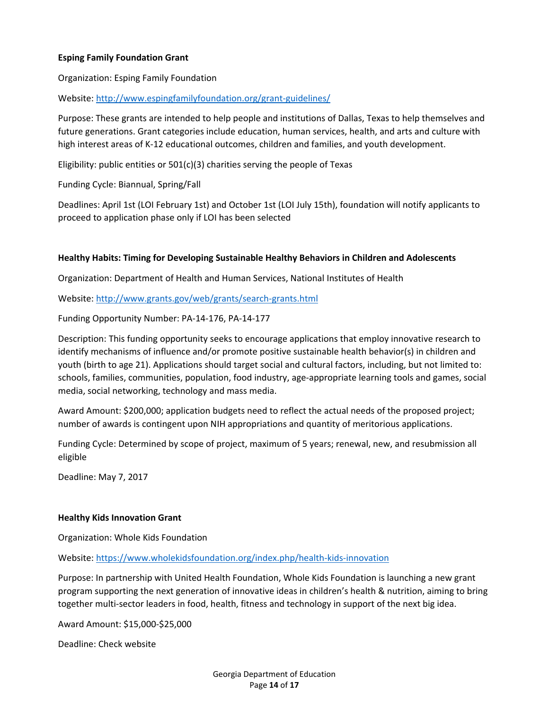## **Esping Family Foundation Grant**

Organization: Esping Family Foundation

## Website: http://www.espingfamilyfoundation.org/grant‐guidelines/

Purpose: These grants are intended to help people and institutions of Dallas, Texas to help themselves and future generations. Grant categories include education, human services, health, and arts and culture with high interest areas of K-12 educational outcomes, children and families, and youth development.

Eligibility: public entities or 501(c)(3) charities serving the people of Texas

Funding Cycle: Biannual, Spring/Fall

Deadlines: April 1st (LOI February 1st) and October 1st (LOI July 15th), foundation will notify applicants to proceed to application phase only if LOI has been selected

## **Healthy Habits: Timing for Developing Sustainable Healthy Behaviors in Children and Adolescents**

Organization: Department of Health and Human Services, National Institutes of Health

Website: http://www.grants.gov/web/grants/search‐grants.html

Funding Opportunity Number: PA‐14‐176, PA‐14‐177

Description: This funding opportunity seeks to encourage applications that employ innovative research to identify mechanisms of influence and/or promote positive sustainable health behavior(s) in children and youth (birth to age 21). Applications should target social and cultural factors, including, but not limited to: schools, families, communities, population, food industry, age‐appropriate learning tools and games, social media, social networking, technology and mass media.

Award Amount: \$200,000; application budgets need to reflect the actual needs of the proposed project; number of awards is contingent upon NIH appropriations and quantity of meritorious applications.

Funding Cycle: Determined by scope of project, maximum of 5 years; renewal, new, and resubmission all eligible

Deadline: May 7, 2017

## **Healthy Kids Innovation Grant**

Organization: Whole Kids Foundation

Website: https://www.wholekidsfoundation.org/index.php/health-kids-innovation

Purpose: In partnership with United Health Foundation, Whole Kids Foundation is launching a new grant program supporting the next generation of innovative ideas in children's health & nutrition, aiming to bring together multi‐sector leaders in food, health, fitness and technology in support of the next big idea.

Award Amount: \$15,000‐\$25,000

Deadline: Check website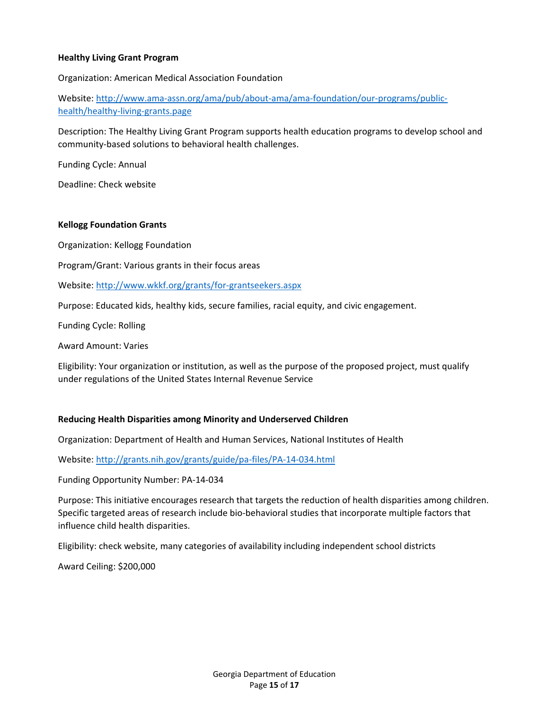## **Healthy Living Grant Program**

Organization: American Medical Association Foundation

Website: http://www.ama-assn.org/ama/pub/about-ama/ama-foundation/our-programs/publichealth/healthy‐living‐grants.page

Description: The Healthy Living Grant Program supports health education programs to develop school and community‐based solutions to behavioral health challenges.

Funding Cycle: Annual

Deadline: Check website

#### **Kellogg Foundation Grants**

Organization: Kellogg Foundation

Program/Grant: Various grants in their focus areas

Website: http://www.wkkf.org/grants/for‐grantseekers.aspx

Purpose: Educated kids, healthy kids, secure families, racial equity, and civic engagement.

Funding Cycle: Rolling

Award Amount: Varies

Eligibility: Your organization or institution, as well as the purpose of the proposed project, must qualify under regulations of the United States Internal Revenue Service

## **Reducing Health Disparities among Minority and Underserved Children**

Organization: Department of Health and Human Services, National Institutes of Health

Website: http://grants.nih.gov/grants/guide/pa‐files/PA‐14‐034.html

Funding Opportunity Number: PA‐14‐034

Purpose: This initiative encourages research that targets the reduction of health disparities among children. Specific targeted areas of research include bio-behavioral studies that incorporate multiple factors that influence child health disparities.

Eligibility: check website, many categories of availability including independent school districts

Award Ceiling: \$200,000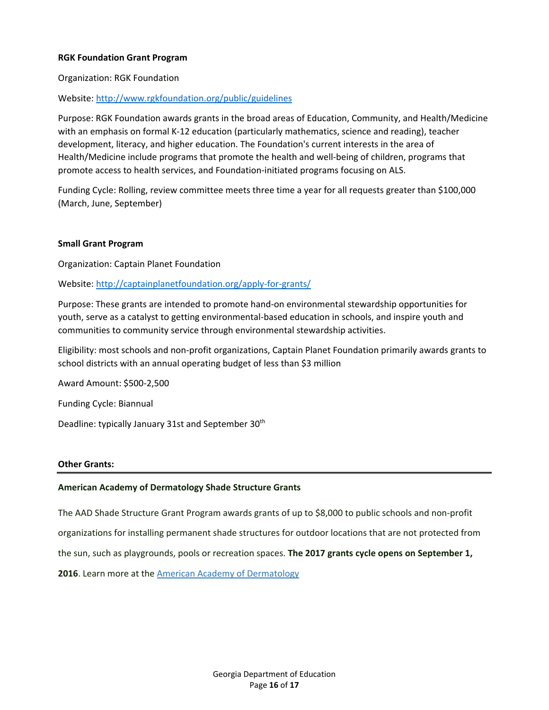## **RGK Foundation Grant Program**

Organization: RGK Foundation

## Website: http://www.rgkfoundation.org/public/guidelines

Purpose: RGK Foundation awards grants in the broad areas of Education, Community, and Health/Medicine with an emphasis on formal K‐12 education (particularly mathematics, science and reading), teacher development, literacy, and higher education. The Foundation's current interests in the area of Health/Medicine include programs that promote the health and well‐being of children, programs that promote access to health services, and Foundation‐initiated programs focusing on ALS.

Funding Cycle: Rolling, review committee meets three time a year for all requests greater than \$100,000 (March, June, September)

#### **Small Grant Program**

Organization: Captain Planet Foundation

Website: http://captainplanetfoundation.org/apply‐for‐grants/

Purpose: These grants are intended to promote hand‐on environmental stewardship opportunities for youth, serve as a catalyst to getting environmental‐based education in schools, and inspire youth and communities to community service through environmental stewardship activities.

Eligibility: most schools and non‐profit organizations, Captain Planet Foundation primarily awards grants to school districts with an annual operating budget of less than \$3 million

Award Amount: \$500‐2,500

Funding Cycle: Biannual

Deadline: typically January 31st and September 30<sup>th</sup>

#### **Other Grants:**

#### **American Academy of Dermatology Shade Structure Grants**

The AAD Shade Structure Grant Program awards grants of up to \$8,000 to public schools and non‐profit

organizations for installing permanent shade structures for outdoor locations that are not protected from

the sun, such as playgrounds, pools or recreation spaces. **The 2017 grants cycle opens on September 1,**

**2016**. Learn more at the American Academy of Dermatology